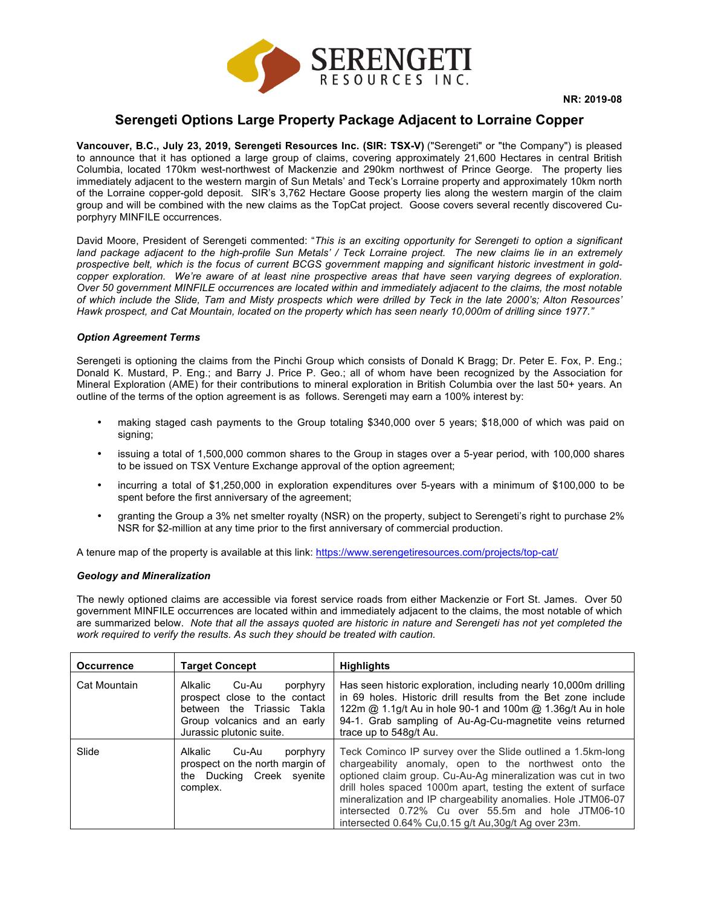

# **Serengeti Options Large Property Package Adjacent to Lorraine Copper**

**Vancouver, B.C., July 23, 2019, Serengeti Resources Inc. (SIR: TSX-V)** ("Serengeti" or "the Company") is pleased to announce that it has optioned a large group of claims, covering approximately 21,600 Hectares in central British Columbia, located 170km west-northwest of Mackenzie and 290km northwest of Prince George. The property lies immediately adjacent to the western margin of Sun Metals' and Teck's Lorraine property and approximately 10km north of the Lorraine copper-gold deposit. SIR's 3,762 Hectare Goose property lies along the western margin of the claim group and will be combined with the new claims as the TopCat project. Goose covers several recently discovered Cuporphyry MINFILE occurrences.

David Moore, President of Serengeti commented: "*This is an exciting opportunity for Serengeti to option a significant land package adjacent to the high-profile Sun Metals' / Teck Lorraine project. The new claims lie in an extremely prospective belt, which is the focus of current BCGS government mapping and significant historic investment in gold*copper exploration. We're aware of at least nine prospective areas that have seen varying degrees of exploration. *Over 50 government MINFILE occurrences are located within and immediately adjacent to the claims, the most notable of which include the Slide, Tam and Misty prospects which were drilled by Teck in the late 2000's; Alton Resources' Hawk prospect, and Cat Mountain, located on the property which has seen nearly 10,000m of drilling since 1977."*

## *Option Agreement Terms*

Serengeti is optioning the claims from the Pinchi Group which consists of Donald K Bragg; Dr. Peter E. Fox, P. Eng.; Donald K. Mustard, P. Eng.; and Barry J. Price P. Geo.; all of whom have been recognized by the Association for Mineral Exploration (AME) for their contributions to mineral exploration in British Columbia over the last 50+ years. An outline of the terms of the option agreement is as follows. Serengeti may earn a 100% interest by:

- making staged cash payments to the Group totaling \$340,000 over 5 years; \$18,000 of which was paid on signing;
- issuing a total of 1,500,000 common shares to the Group in stages over a 5-year period, with 100,000 shares to be issued on TSX Venture Exchange approval of the option agreement;
- incurring a total of \$1,250,000 in exploration expenditures over 5-years with a minimum of \$100,000 to be spent before the first anniversary of the agreement;
- granting the Group a 3% net smelter royalty (NSR) on the property, subject to Serengeti's right to purchase 2% NSR for \$2-million at any time prior to the first anniversary of commercial production.

A tenure map of the property is available at this link: https://www.serengetiresources.com/projects/top-cat/

## *Geology and Mineralization*

The newly optioned claims are accessible via forest service roads from either Mackenzie or Fort St. James. Over 50 government MINFILE occurrences are located within and immediately adjacent to the claims, the most notable of which are summarized below. *Note that all the assays quoted are historic in nature and Serengeti has not yet completed the work required to verify the results. As such they should be treated with caution.*

| <b>Occurrence</b> | <b>Target Concept</b>                                                                                                                                   | <b>Highlights</b>                                                                                                                                                                                                                                                                                                                                                                                                                   |
|-------------------|---------------------------------------------------------------------------------------------------------------------------------------------------------|-------------------------------------------------------------------------------------------------------------------------------------------------------------------------------------------------------------------------------------------------------------------------------------------------------------------------------------------------------------------------------------------------------------------------------------|
| Cat Mountain      | Cu-Au<br>Alkalic<br>porphyry<br>prospect close to the contact<br>between the Triassic Takla<br>Group volcanics and an early<br>Jurassic plutonic suite. | Has seen historic exploration, including nearly 10,000m drilling<br>in 69 holes. Historic drill results from the Bet zone include<br>122m @ 1.1g/t Au in hole 90-1 and 100m @ 1.36g/t Au in hole<br>94-1. Grab sampling of Au-Ag-Cu-magnetite veins returned<br>trace up to 548g/t Au.                                                                                                                                              |
| Slide             | Cu-Au<br>Alkalic<br>porphyry<br>prospect on the north margin of<br>the Ducking Creek syenite<br>complex.                                                | Teck Cominco IP survey over the Slide outlined a 1.5km-long<br>chargeability anomaly, open to the northwest onto the<br>optioned claim group. Cu-Au-Ag mineralization was cut in two<br>drill holes spaced 1000m apart, testing the extent of surface<br>mineralization and IP chargeability anomalies. Hole JTM06-07<br>intersected 0.72% Cu over 55.5m and hole JTM06-10<br>intersected 0.64% Cu, 0.15 g/t Au, 30g/t Ag over 23m. |